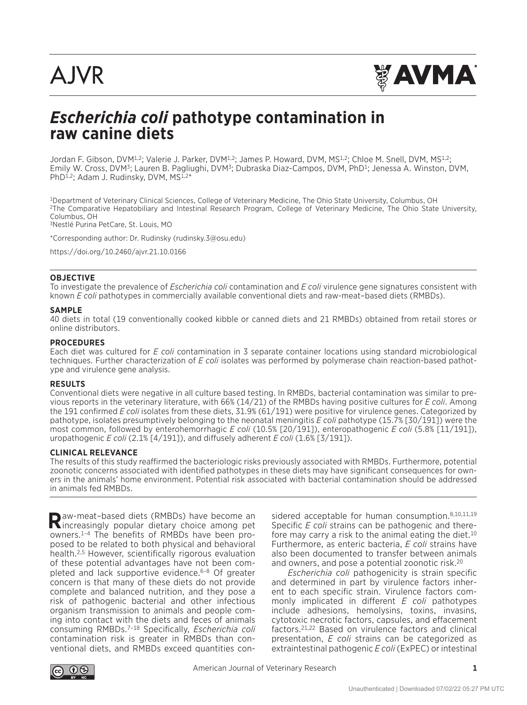# **AJVR**



# *Escherichia coli* **pathotype contamination in raw canine diets**

Jordan F. Gibson, DVM<sup>1,2</sup>; Valerie J. Parker, DVM<sup>1,2</sup>; James P. Howard, DVM, MS<sup>1,2</sup>; Chloe M. Snell, DVM, MS<sup>1,2</sup>; Emily W. Cross, DVM3; Lauren B. Pagliughi, DVM3; Dubraska Diaz-Campos, DVM, PhD1; Jenessa A. Winston, DVM, PhD<sup>1,2</sup>; Adam J. Rudinsky, DVM, MS<sup>1,2\*</sup>

1Department of Veterinary Clinical Sciences, College of Veterinary Medicine, The Ohio State University, Columbus, OH 2The Comparative Hepatobiliary and Intestinal Research Program, College of Veterinary Medicine, The Ohio State University, Columbus, OH

3Nestlé Purina PetCare, St. Louis, MO

\*Corresponding author: Dr. Rudinsky (rudinsky.3@osu.edu)

https://doi.org/10.2460/ajvr.21.10.0166

#### **OBJECTIVE**

To investigate the prevalence of *Escherichia coli* contamination and *E coli* virulence gene signatures consistent with known *E coli* pathotypes in commercially available conventional diets and raw-meat–based diets (RMBDs).

#### **SAMPLE**

40 diets in total (19 conventionally cooked kibble or canned diets and 21 RMBDs) obtained from retail stores or online distributors.

#### **PROCEDURES**

Each diet was cultured for *E coli* contamination in 3 separate container locations using standard microbiological techniques. Further characterization of *E coli* isolates was performed by polymerase chain reaction-based pathotype and virulence gene analysis.

#### **RESULTS**

Conventional diets were negative in all culture based testing. In RMBDs, bacterial contamination was similar to previous reports in the veterinary literature, with 66% (14/21) of the RMBDs having positive cultures for *E coli*. Among the 191 confirmed *E coli* isolates from these diets, 31.9% (61/191) were positive for virulence genes. Categorized by pathotype, isolates presumptively belonging to the neonatal meningitis *E coli* pathotype (15.7% [30/191]) were the most common, followed by enterohemorrhagic *E coli* (10.5% [20/191]), enteropathogenic *E coli* (5.8% [11/191]), uropathogenic *E coli* (2.1% [4/191]), and diffusely adherent *E coli* (1.6% [3/191]).

#### **CLINICAL RELEVANCE**

The results of this study reaffirmed the bacteriologic risks previously associated with RMBDs. Furthermore, potential zoonotic concerns associated with identified pathotypes in these diets may have significant consequences for owners in the animals' home environment. Potential risk associated with bacterial contamination should be addressed in animals fed RMBDs.

**R**aw-meat–based diets (RMBDs) have become an increasingly popular dietary choice among pet owners.1–4 The benefits of RMBDs have been proposed to be related to both physical and behavioral health.2,5 However, scientifically rigorous evaluation of these potential advantages have not been completed and lack supportive evidence.<sup>6-8</sup> Of greater concern is that many of these diets do not provide complete and balanced nutrition, and they pose a risk of pathogenic bacterial and other infectious organism transmission to animals and people coming into contact with the diets and feces of animals consuming RMBDs.7–18 Specifically, *Escherichia coli* contamination risk is greater in RMBDs than conventional diets, and RMBDs exceed quantities con-

sidered acceptable for human consumption. 8,10,11,19 Specific *E coli* strains can be pathogenic and therefore may carry a risk to the animal eating the diet.<sup>10</sup> Furthermore, as enteric bacteria, *E coli* strains have also been documented to transfer between animals and owners, and pose a potential zoonotic risk.20

*Escherichia coli* pathogenicity is strain specific and determined in part by virulence factors inherent to each specific strain. Virulence factors commonly implicated in different *E coli* pathotypes include adhesions, hemolysins, toxins, invasins, cytotoxic necrotic factors, capsules, and effacement factors.21,22 Based on virulence factors and clinical presentation, *E coli* strains can be categorized as extraintestinal pathogenic *E coli* (ExPEC) or intestinal

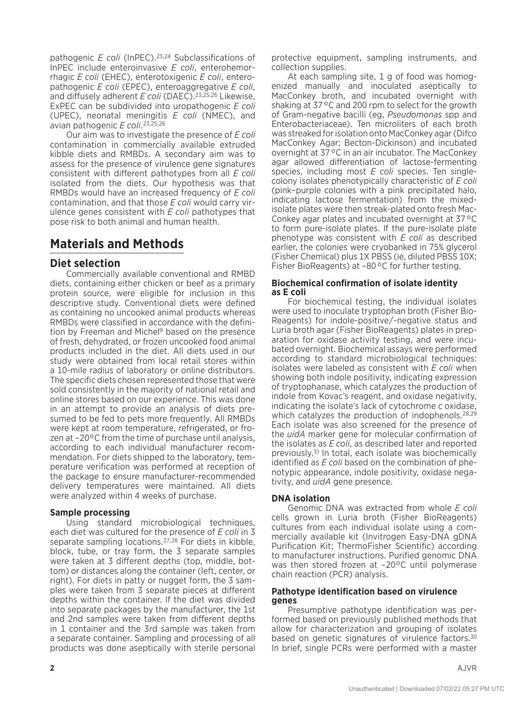pathogenic *E coli* (InPEC).23,24 Subclassifications of InPEC include enteroinvasive *E coli*, enterohemorrhagic *E coli* (EHEC), enterotoxigenic *E coli*, enteropathogenic *E coli* (EPEC), enteroaggregative *E coli*, and diffusely adherent *E coli* (DAEC).23,25,26 Likewise, ExPEC can be subdivided into uropathogenic *E coli* (UPEC), neonatal meningitis *E coli* (NMEC), and avian pathogenic *E coli*. 23,25,26

Our aim was to investigate the presence of *E coli* contamination in commercially available extruded kibble diets and RMBDs. A secondary aim was to assess for the presence of virulence gene signatures consistent with different pathotypes from all *E coli* isolated from the diets. Our hypothesis was that RMBDs would have an increased frequency of *E coli* contamination, and that those *E coli* would carry virulence genes consistent with *E coli* pathotypes that pose risk to both animal and human health.

# **Materials and Methods**

#### **Diet selection**

Commercially available conventional and RMBD diets, containing either chicken or beef as a primary protein source, were eligible for inclusion in this descriptive study. Conventional diets were defined as containing no uncooked animal products whereas RMBDs were classified in accordance with the definition by Freeman and Michel<sup>9</sup> based on the presence of fresh, dehydrated, or frozen uncooked food animal products included in the diet. All diets used in our study were obtained from local retail stores within a 10-mile radius of laboratory or online distributors. The specific diets chosen represented those that were sold consistently in the majority of national retail and online stores based on our experience. This was done in an attempt to provide an analysis of diets presumed to be fed to pets more frequently. All RMBDs were kept at room temperature, refrigerated, or frozen at –20°C from the time of purchase until analysis, according to each individual manufacturer recommendation. For diets shipped to the laboratory, temperature verification was performed at reception of the package to ensure manufacturer-recommended delivery temperatures were maintained. All diets were analyzed within 4 weeks of purchase.

#### **Sample processing**

Using standard microbiological techniques, each diet was cultured for the presence of *E coli* in 3 separate sampling locations.27,28 For diets in kibble, block, tube, or tray form, the 3 separate samples were taken at 3 different depths (top, middle, bottom) or distances along the container (left, center, or right). For diets in patty or nugget form, the 3 samples were taken from 3 separate pieces at different depths within the container. If the diet was divided into separate packages by the manufacturer, the 1st and 2nd samples were taken from different depths in 1 container and the 3rd sample was taken from a separate container. Sampling and processing of all products was done aseptically with sterile personal protective equipment, sampling instruments, and collection supplies.

At each sampling site, 1 g of food was homogenized manually and inoculated aseptically to MacConkey broth, and incubated overnight with shaking at 37°C and 200 rpm to select for the growth of Gram-negative bacilli (eg, *Pseudomonas* spp and Enterobacteriaceae). Ten microliters of each broth was streaked for isolation onto MacConkey agar (Difco MacConkey Agar; Becton-Dickinson) and incubated overnight at 37°C in an air incubator. The MacConkey agar allowed differentiation of lactose-fermenting species, including most *E coli* species. Ten singlecolony isolates phenotypically characteristic of *E coli* (pink–purple colonies with a pink precipitated halo, indicating lactose fermentation) from the mixedisolate plates were then streak-plated onto fresh Mac-Conkey agar plates and incubated overnight at 37°C to form pure-isolate plates. If the pure-isolate plate phenotype was consistent with *E coli* as described earlier, the colonies were cryobanked in 75% glycerol (Fisher Chemical) plus 1X PBSS (ie, diluted PBSS 10X; Fisher BioReagents) at -80°C for further testing.

#### **Biochemical confirmation of isolate identity as E coli**

For biochemical testing, the individual isolates were used to inoculate tryptophan broth (Fisher Bio-Reagents) for indole-positive/-negative status and Luria broth agar (Fisher BioReagents) plates in preparation for oxidase activity testing, and were incubated overnight. Biochemical assays were performed according to standard microbiological techniques: isolates were labeled as consistent with *E coli* when showing both indole positivity, indicating expression of tryptophanase, which catalyzes the production of indole from Kovac's reagent, and oxidase negativity, indicating the isolate's lack of cytochrome c oxidase, which catalyzes the production of indophenols.<sup>28,29</sup> Each isolate was also screened for the presence of the *uidA* marker gene for molecular confirmation of the isolates as *E coli*, as described later and reported previously.3) In total, each isolate was biochemically identified as *E coli* based on the combination of phenotypic appearance, indole positivity, oxidase negativity, and *uidA* gene presence.

#### **DNA isolation**

Genomic DNA was extracted from whole *E coli* cells grown in Luria broth (Fisher BioReagents) cultures from each individual isolate using a commercially available kit (Invitrogen Easy-DNA gDNA Purification Kit; ThermoFisher Scientific) according to manufacturer instructions. Purified genomic DNA was then stored frozen at -20°C until polymerase chain reaction (PCR) analysis.

#### **Pathotype identification based on virulence genes**

Presumptive pathotype identification was performed based on previously published methods that allow for characterization and grouping of isolates based on genetic signatures of virulence factors.<sup>30</sup> In brief, single PCRs were performed with a master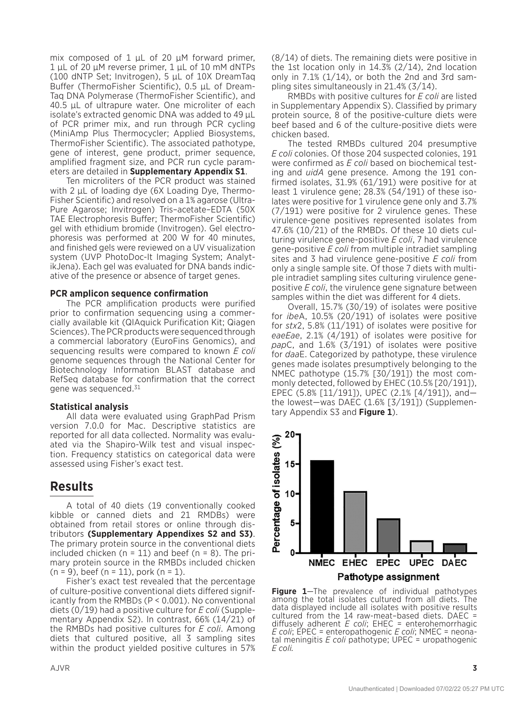mix composed of 1 μL of 20 μM forward primer, 1 μL of 20 μM reverse primer, 1 μL of 10 mM dNTPs (100 dNTP Set; Invitrogen), 5 μL of 10X DreamTaq Buffer (ThermoFisher Scientific), 0.5 μL of Dream-Taq DNA Polymerase (ThermoFisher Scientific), and 40.5 μL of ultrapure water. One microliter of each isolate's extracted genomic DNA was added to 49 μL of PCR primer mix, and run through PCR cycling (MiniAmp Plus Thermocycler; Applied Biosystems, ThermoFisher Scientific). The associated pathotype, gene of interest, gene product, primer sequence, amplified fragment size, and PCR run cycle parameters are detailed in **Supplementary Appendix S1**.

Ten microliters of the PCR product was stained with 2 μL of loading dye (6X Loading Dye, Thermo-Fisher Scientific) and resolved on a 1% agarose (Ultra-Pure Agarose; Invitrogen) Tris–acetate–EDTA (50X TAE Electrophoresis Buffer; ThermoFisher Scientific) gel with ethidium bromide (Invitrogen). Gel electrophoresis was performed at 200 W for 40 minutes, and finished gels were reviewed on a UV visualization system (UVP PhotoDoc-It Imaging System; AnalytikJena). Each gel was evaluated for DNA bands indicative of the presence or absence of target genes.

#### **PCR amplicon sequence confirmation**

The PCR amplification products were purified prior to confirmation sequencing using a commercially available kit (QIAquick Purification Kit; Qiagen Sciences). The PCR products were sequenced through a commercial laboratory (EuroFins Genomics), and sequencing results were compared to known *E coli* genome sequences through the National Center for Biotechnology Information BLAST database and RefSeq database for confirmation that the correct gene was sequenced.31

#### **Statistical analysis**

All data were evaluated using GraphPad Prism version 7.0.0 for Mac. Descriptive statistics are reported for all data collected. Normality was evaluated via the Shapiro-Wilk test and visual inspection. Frequency statistics on categorical data were assessed using Fisher's exact test.

#### **Results**

A total of 40 diets (19 conventionally cooked kibble or canned diets and 21 RMDBs) were obtained from retail stores or online through distributors **(Supplementary Appendixes S2 and S3)**. The primary protein source in the conventional diets included chicken ( $n = 11$ ) and beef ( $n = 8$ ). The primary protein source in the RMBDs included chicken (n = 9), beef (n = 11), pork (n = 1).

Fisher's exact test revealed that the percentage of culture-positive conventional diets differed significantly from the RMBDs (P < 0.001). No conventional diets (0/19) had a positive culture for *E coli* (Supplementary Appendix S2). In contrast, 66% (14/21) of the RMBDs had positive cultures for *E coli*. Among diets that cultured positive, all 3 sampling sites within the product yielded positive cultures in 57% (8/14) of diets. The remaining diets were positive in the 1st location only in 14.3% (2/14), 2nd location only in  $7.1\%$  ( $1/14$ ), or both the 2nd and 3rd sampling sites simultaneously in 21.4% (3/14).

RMBDs with positive cultures for *E coli* are listed in Supplementary Appendix S). Classified by primary protein source, 8 of the positive-culture diets were beef based and 6 of the culture-positive diets were chicken based.

The tested RMBDs cultured 204 presumptive *E coli* colonies. Of those 204 suspected colonies, 191 were confirmed as *E coli* based on biochemical testing and *uidA* gene presence. Among the 191 confirmed isolates, 31.9% (61/191) were positive for at least 1 virulence gene; 28.3% (54/191) of these isolates were positive for 1 virulence gene only and 3.7% (7/191) were positive for 2 virulence genes. These virulence-gene positives represented isolates from 47.6% (10/21) of the RMBDs. Of these 10 diets culturing virulence gene-positive *E coli*, 7 had virulence gene-positive *E coli* from multiple intradiet sampling sites and 3 had virulence gene-positive *E coli* from only a single sample site. Of those 7 diets with multiple intradiet sampling sites culturing virulence genepositive *E coli*, the virulence gene signature between samples within the diet was different for 4 diets.

Overall, 15.7% (30/19) of isolates were positive for *ibe*A, 10.5% (20/191) of isolates were positive for *stx*2, 5.8% (11/191) of isolates were positive for *eaeEae*, 2.1% (4/191) of isolates were positive for *pap*C, and 1.6% (3/191) of isolates were positive for *daa*E. Categorized by pathotype, these virulence genes made isolates presumptively belonging to the NMEC pathotype (15.7% [30/191]) the most commonly detected, followed by EHEC (10.5% [20/191]), EPEC (5.8% [11/191]), UPEC (2.1% [4/191]), and the lowest—was DAEC (1.6% [3/191]) (Supplementary Appendix S3 and **Figure 1**).



**Figure 1**—The prevalence of individual pathotypes among the total isolates cultured from all diets. The data displayed include all isolates with positive results cultured from the 14 raw-meat–based diets. DAEC = diffusely adherent *E coli*; EHEC = enterohemorrhagic *E coli*; EPEC = enteropathogenic *E coli*; NMEC = neonatal meningitis *E coli* pathotype; UPEC = uropathogenic *E coli.*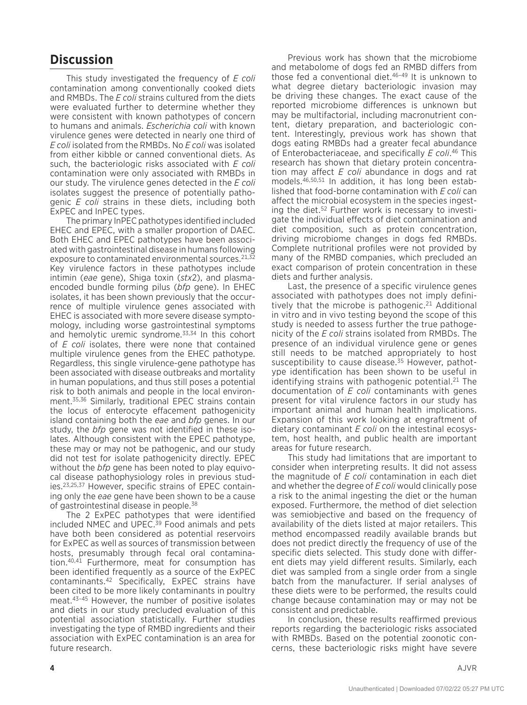### **Discussion**

This study investigated the frequency of *E coli* contamination among conventionally cooked diets and RMBDs. The *E coli* strains cultured from the diets were evaluated further to determine whether they were consistent with known pathotypes of concern to humans and animals. *Escherichia coli* with known virulence genes were detected in nearly one third of *E coli* isolated from the RMBDs. No *E coli* was isolated from either kibble or canned conventional diets. As such, the bacteriologic risks associated with *E coli* contamination were only associated with RMBDs in our study. The virulence genes detected in the *E coli* isolates suggest the presence of potentially pathogenic *E coli* strains in these diets, including both ExPEC and InPEC types.

The primary InPEC pathotypes identified included EHEC and EPEC, with a smaller proportion of DAEC. Both EHEC and EPEC pathotypes have been associated with gastrointestinal disease in humans following exposure to contaminated environmental sources.<sup>21,32</sup> Key virulence factors in these pathotypes include intimin (*eae* gene), Shiga toxin (*stx*2), and plasmaencoded bundle forming pilus (*bfp* gene). In EHEC isolates, it has been shown previously that the occurrence of multiple virulence genes associated with EHEC is associated with more severe disease symptomology, including worse gastrointestinal symptoms and hemolytic uremic syndrome.<sup>33,34</sup> In this cohort of *E coli* isolates, there were none that contained multiple virulence genes from the EHEC pathotype. Regardless, this single virulence-gene pathotype has been associated with disease outbreaks and mortality in human populations, and thus still poses a potential risk to both animals and people in the local environment.35,36 Similarly, traditional EPEC strains contain the locus of enterocyte effacement pathogenicity island containing both the *eae* and *bfp* genes. In our study, the *bfp* gene was not identified in these isolates. Although consistent with the EPEC pathotype, these may or may not be pathogenic, and our study did not test for isolate pathogenicity directly. EPEC without the *bfp* gene has been noted to play equivocal disease pathophysiology roles in previous studies.23,25,37 However, specific strains of EPEC containing only the *eae* gene have been shown to be a cause of gastrointestinal disease in people.38

The 2 ExPEC pathotypes that were identified included NMEC and UPEC.39 Food animals and pets have both been considered as potential reservoirs for ExPEC as well as sources of transmission between hosts, presumably through fecal oral contamination.40,41 Furthermore, meat for consumption has been identified frequently as a source of the ExPEC contaminants.42 Specifically, ExPEC strains have been cited to be more likely contaminants in poultry meat.43–45 However, the number of positive isolates and diets in our study precluded evaluation of this potential association statistically. Further studies investigating the type of RMBD ingredients and their association with ExPEC contamination is an area for future research.

Previous work has shown that the microbiome and metabolome of dogs fed an RMBD differs from those fed a conventional diet.<sup>46-49</sup> It is unknown to what degree dietary bacteriologic invasion may be driving these changes. The exact cause of the reported microbiome differences is unknown but may be multifactorial, including macronutrient content, dietary preparation, and bacteriologic content. Interestingly, previous work has shown that dogs eating RMBDs had a greater fecal abundance of Enterobacteriaceae, and specifically *E coli*. 46 This research has shown that dietary protein concentration may affect *E coli* abundance in dogs and rat models.46,50,51 In addition, it has long been established that food-borne contamination with *E coli* can affect the microbial ecosystem in the species ingesting the diet.52 Further work is necessary to investigate the individual effects of diet contamination and diet composition, such as protein concentration, driving microbiome changes in dogs fed RMBDs. Complete nutritional profiles were not provided by many of the RMBD companies, which precluded an exact comparison of protein concentration in these diets and further analysis.

Last, the presence of a specific virulence genes associated with pathotypes does not imply definitively that the microbe is pathogenic.<sup>21</sup> Additional in vitro and in vivo testing beyond the scope of this study is needed to assess further the true pathogenicity of the *E coli* strains isolated from RMBDs. The presence of an individual virulence gene or genes still needs to be matched appropriately to host susceptibility to cause disease.<sup>35</sup> However, pathotype identification has been shown to be useful in identifying strains with pathogenic potential.<sup>21</sup> The documentation of *E coli* contaminants with genes present for vital virulence factors in our study has important animal and human health implications. Expansion of this work looking at engraftment of dietary contaminant *E coli* on the intestinal ecosystem, host health, and public health are important areas for future research.

This study had limitations that are important to consider when interpreting results. It did not assess the magnitude of *E coli* contamination in each diet and whether the degree of *E coli* would clinically pose a risk to the animal ingesting the diet or the human exposed. Furthermore, the method of diet selection was semiobjective and based on the frequency of availability of the diets listed at major retailers. This method encompassed readily available brands but does not predict directly the frequency of use of the specific diets selected. This study done with different diets may yield different results. Similarly, each diet was sampled from a single order from a single batch from the manufacturer. If serial analyses of these diets were to be performed, the results could change because contamination may or may not be consistent and predictable.

In conclusion, these results reaffirmed previous reports regarding the bacteriologic risks associated with RMBDs. Based on the potential zoonotic concerns, these bacteriologic risks might have severe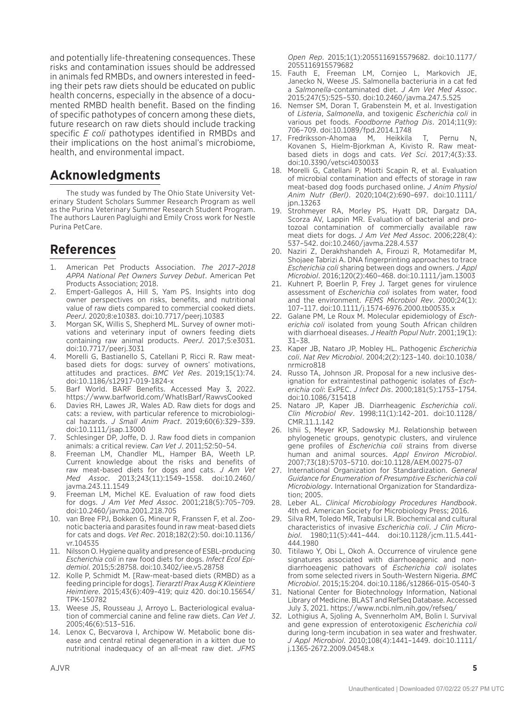and potentially life-threatening consequences. These risks and contamination issues should be addressed in animals fed RMBDs, and owners interested in feeding their pets raw diets should be educated on public health concerns, especially in the absence of a documented RMBD health benefit. Based on the finding of specific pathotypes of concern among these diets, future research on raw diets should include tracking specific *E coli* pathotypes identified in RMBDs and their implications on the host animal's microbiome, health, and environmental impact.

# **Acknowledgments**

The study was funded by The Ohio State University Veterinary Student Scholars Summer Research Program as well as the Purina Veterinary Summer Research Student Program. The authors Lauren Pagluighi and Emily Cross work for Nestle Purina PetCare.

# **References**

- 1. American Pet Products Association. *The 2017–2018 APPA National Pet Owners Survey Debut*. American Pet Products Association; 2018.
- 2. Empert-Gallegos A, Hill S, Yam PS. Insights into dog owner perspectives on risks, benefits, and nutritional value of raw diets compared to commercial cooked diets. *PeerJ*. 2020;8:e10383. doi:10.7717/peerj.10383
- 3. Morgan SK, Willis S, Shepherd ML. Survey of owner motivations and veterinary input of owners feeding diets containing raw animal products. *PeerJ*. 2017;5:e3031. doi:10.7717/peerj.3031
- 4. Morelli G, Bastianello S, Catellani P, Ricci R. Raw meatbased diets for dogs: survey of owners' motivations, attitudes and practices. *BMC Vet Res*. 2019;15(1):74. doi:10.1186/s12917-019-1824-x
- 5. Barf World. BARF Benefits. Accessed May 3, 2022. https://www.barfworld.com/WhatIsBarf/RawvsCooked
- 6. Davies RH, Lawes JR, Wales AD. Raw diets for dogs and cats: a review, with particular reference to microbiological hazards. *J Small Anim Pract*. 2019;60(6):329–339. doi:10.1111/jsap.13000
- 7. Schlesinger DP, Joffe, D. J. Raw food diets in companion animals: a critical review. *Can Vet J*. 2011;52:50–54.
- 8. Freeman LM, Chandler ML, Hamper BA, Weeth LP. Current knowledge about the risks and benefits of raw meat-based diets for dogs and cats. *J Am Vet Med Assoc*. 2013;243(11):1549–1558. doi:10.2460/ javma.243.11.1549
- 9. Freeman LM, Michel KE. Evaluation of raw food diets for dogs. *J Am Vet Med Assoc*. 2001;218(5):705–709. doi:10.2460/javma.2001.218.705
- 10. van Bree FPJ, Bokken G, Mineur R, Franssen F, et al. Zoonotic bacteria and parasites found in raw meat-based diets for cats and dogs. *Vet Rec*. 2018;182(2):50. doi:10.1136/ vr.104535
- 11. Nilsson O. Hygiene quality and presence of ESBL-producing *Escherichia coli* in raw food diets for dogs. *Infect Ecol Epidemiol*. 2015;5:28758. doi:10.3402/iee.v5.28758
- 12. Kolle P, Schmidt M. [Raw-meat-based diets (RMBD) as a feeding principle for dogs]. *Tierarztl Prax Ausg K Kleintiere Heimtiere*. 2015;43(6):409–419; quiz 420. doi:10.15654/ TPK-150782
- 13. Weese JS, Rousseau J, Arroyo L. Bacteriological evaluation of commercial canine and feline raw diets. *Can Vet J*. 2005;46(6):513–516.
- 14. Lenox C, Becvarova I, Archipow W. Metabolic bone disease and central retinal degeneration in a kitten due to nutritional inadequacy of an all-meat raw diet. *JFMS*

*Open Rep*. 2015;1(1):2055116915579682. doi:10.1177/ 2055116915579682

- 15. Fauth E, Freeman LM, Cornjeo L, Markovich JE, Janecko N, Weese JS. Salmonella bacteriuria in a cat fed a *Salmonella*-contaminated diet. *J Am Vet Med Assoc*. 2015;247(5):525–530. doi:10.2460/javma.247.5.525
- 16. Nemser SM, Doran T, Grabenstein M, et al. Investigation of *Listeria*, *Salmonella*, and toxigenic *Escherichia coli* in various pet foods. *Foodborne Pathog Dis*. 2014;11(9): 706–709. doi:10.1089/fpd.2014.1748
- 17. Fredriksson-Ahomaa M, Heikkila T, Pernu N, Kovanen S, Hielm-Bjorkman A, Kivisto R. Raw meatbased diets in dogs and cats. *Vet Sci*. 2017;4(3):33. doi:10.3390/vetsci4030033
- 18. Morelli G, Catellani P, Miotti Scapin R, et al. Evaluation of microbial contamination and effects of storage in raw meat-based dog foods purchased online. *J Anim Physiol Anim Nutr (Berl)*. 2020;104(2):690–697. doi:10.1111/ jpn.13263
- 19. Strohmeyer RA, Morley PS, Hyatt DR, Dargatz DA, Scorza AV, Lappin MR. Evaluation of bacterial and protozoal contamination of commercially available raw meat diets for dogs. *J Am Vet Med Assoc*. 2006;228(4): 537–542. doi:10.2460/javma.228.4.537
- 20. Naziri Z, Derakhshandeh A, Firouzi R, Motamedifar M, Shojaee Tabrizi A. DNA fingerprinting approaches to trace *Escherichia coli* sharing between dogs and owners. *J Appl Microbiol*. 2016;120(2):460–468. doi:10.1111/jam.13003
- 21. Kuhnert P, Boerlin P, Frey J. Target genes for virulence assessment of *Escherichia coli* isolates from water, food and the environment. *FEMS Microbiol Rev*. 2000;24(1): 107–117. doi:10.1111/j.1574-6976.2000.tb00535.x
- 22. Galane PM, Le Roux M. Molecular epidemiology of *Escherichia coli* isolated from young South African children with diarrhoeal diseases. *J Health Popul Nutr*. 2001;19(1): 31–38.
- 23. Kaper JB, Nataro JP, Mobley HL. Pathogenic *Escherichia coli*. *Nat Rev Microbiol*. 2004;2(2):123–140. doi:10.1038/ nrmicro818
- 24. Russo TA, Johnson JR. Proposal for a new inclusive designation for extraintestinal pathogenic isolates of *Escherichia coli*: ExPEC. *J Infect Dis*. 2000;181(5):1753–1754. doi:10.1086/315418
- 25. Nataro JP, Kaper JB. Diarrheagenic *Escherichia coli*. *Clin Microbiol Rev*. 1998;11(1):142–201. doi:10.1128/ CMR.11.1.142
- 26. Ishii S, Meyer KP, Sadowsky MJ. Relationship between phylogenetic groups, genotypic clusters, and virulence gene profiles of *Escherichia coli* strains from diverse human and animal sources. *Appl Environ Microbiol*. 2007;73(18):5703–5710. doi:10.1128/AEM.00275-07
- 27. International Organization for Standardization. *General Guidance for Enumeration of Presumptive Escherichia coli Microbiology*. International Organization for Standardization; 2005.
- 28. Leber AL. *Clinical Microbiology Procedures Handbook*. 4th ed. American Society for Microbiology Press; 2016.
- 29. Silva RM, Toledo MR, Trabulsi LR. Biochemical and cultural characteristics of invasive *Escherichia coli*. *J Clin Microbiol*. 1980;11(5):441–444. doi:10.1128/jcm.11.5.441- 444.1980
- 30. Titilawo Y, Obi L, Okoh A. Occurrence of virulence gene signatures associated with diarrhoeagenic and nondiarrhoeagenic pathovars of *Escherichia coli* isolates from some selected rivers in South-Western Nigeria. *BMC Microbiol*. 2015;15:204. doi:10.1186/s12866-015-0540-3
- 31. National Center for Biotechnology Information, National Library of Medicine. BLAST and RefSeq Database. Accessed July 3, 2021. https://www.ncbi.nlm.nih.gov/refseq/
- 32. Lothigius A, Sjoling A, Svennerholm AM, Bolin I. Survival and gene expression of enterotoxigenic *Escherichia coli* during long-term incubation in sea water and freshwater. *J Appl Microbiol*. 2010;108(4):1441–1449. doi:10.1111/ j.1365-2672.2009.04548.x